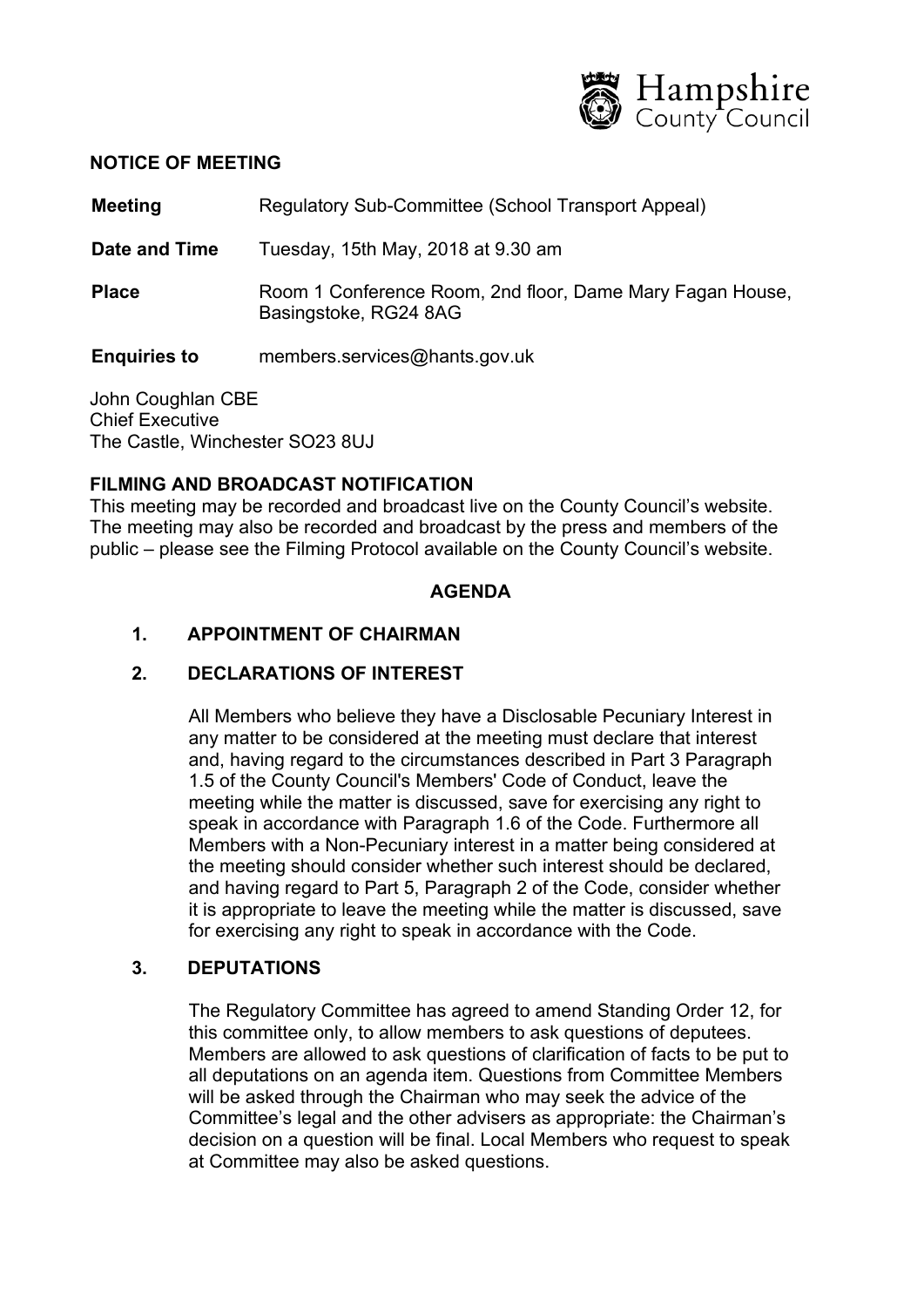

#### **NOTICE OF MEETING**

**Meeting Regulatory Sub-Committee (School Transport Appeal) Date and Time** Tuesday, 15th May, 2018 at 9.30 am **Place** Room 1 Conference Room, 2nd floor, Dame Mary Fagan House,

Basingstoke, RG24 8AG

**Enquiries to** members.services@hants.gov.uk

John Coughlan CBE Chief Executive The Castle, Winchester SO23 8UJ

### **FILMING AND BROADCAST NOTIFICATION**

This meeting may be recorded and broadcast live on the County Council's website. The meeting may also be recorded and broadcast by the press and members of the public – please see the Filming Protocol available on the County Council's website.

### **AGENDA**

### **1. APPOINTMENT OF CHAIRMAN**

### **2. DECLARATIONS OF INTEREST**

All Members who believe they have a Disclosable Pecuniary Interest in any matter to be considered at the meeting must declare that interest and, having regard to the circumstances described in Part 3 Paragraph 1.5 of the County Council's Members' Code of Conduct, leave the meeting while the matter is discussed, save for exercising any right to speak in accordance with Paragraph 1.6 of the Code. Furthermore all Members with a Non-Pecuniary interest in a matter being considered at the meeting should consider whether such interest should be declared, and having regard to Part 5, Paragraph 2 of the Code, consider whether it is appropriate to leave the meeting while the matter is discussed, save for exercising any right to speak in accordance with the Code.

### **3. DEPUTATIONS**

The Regulatory Committee has agreed to amend Standing Order 12, for this committee only, to allow members to ask questions of deputees. Members are allowed to ask questions of clarification of facts to be put to all deputations on an agenda item. Questions from Committee Members will be asked through the Chairman who may seek the advice of the Committee's legal and the other advisers as appropriate: the Chairman's decision on a question will be final. Local Members who request to speak at Committee may also be asked questions.